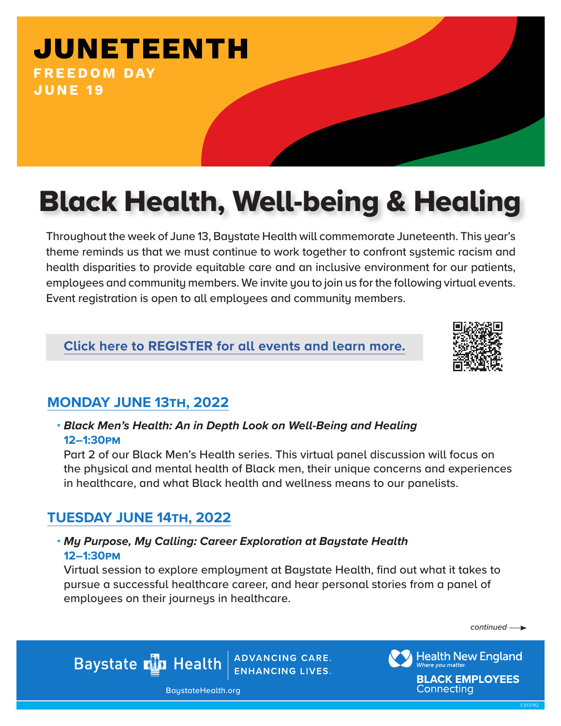## **JUNETEENTH FREEDOM DAY JUNE 19**

# Black Health, Well-being & Healing

Throughout the week of June 13, Baystate Health will commemorate Juneteenth. This year's theme reminds us that we must continue to work together to confront systemic racism and health disparities to provide equitable care and an inclusive environment for our patients, employees and community members. We invite you to join us for the following virtual events. Event registration is open to all employees and community members.

## **[Click here to REGISTER for all events and learn more.](https://www.baystatehealth.org/about-us/calendar/diversity-inclusion/juneteenth)**



## **MONDAY JUNE 13th, 2022**

#### *• Black Men's Health: An in Depth Look on Well-Being and Healing* **12–1:30pm**

Part 2 of our Black Men's Health series. This virtual panel discussion will focus on the physical and mental health of Black men, their unique concerns and experiences in healthcare, and what Black health and wellness means to our panelists.

## **TUESDAY JUNE 14th, 2022**

#### *• My Purpose, My Calling: Career Exploration at Baystate Health* **12–1:30pm**

Virtual session to explore employment at Baystate Health, find out what it takes to pursue a successful healthcare career, and hear personal stories from a panel of employees on their journeys in healthcare.

*continued*

**ADVANCING CARE. Baystate Min Health ENHANCING LIVES.** 

BaystateHealth.org